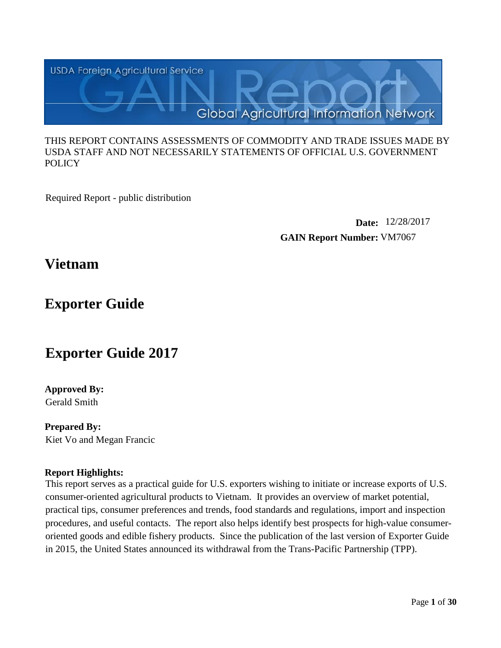

#### THIS REPORT CONTAINS ASSESSMENTS OF COMMODITY AND TRADE ISSUES MADE BY USDA STAFF AND NOT NECESSARILY STATEMENTS OF OFFICIAL U.S. GOVERNMENT POLICY

Required Report - public distribution

**Date:** 12/28/2017 **GAIN Report Number:** VM7067

# **Vietnam**

# **Exporter Guide**

# **Exporter Guide 2017**

## **Approved By:** Gerald Smith

**Prepared By:** Kiet Vo and Megan Francic

## **Report Highlights:**

This report serves as a practical guide for U.S. exporters wishing to initiate or increase exports of U.S. consumer-oriented agricultural products to Vietnam. It provides an overview of market potential, practical tips, consumer preferences and trends, food standards and regulations, import and inspection procedures, and useful contacts. The report also helps identify best prospects for high-value consumeroriented goods and edible fishery products. Since the publication of the last version of Exporter Guide in 2015, the United States announced its withdrawal from the Trans-Pacific Partnership (TPP).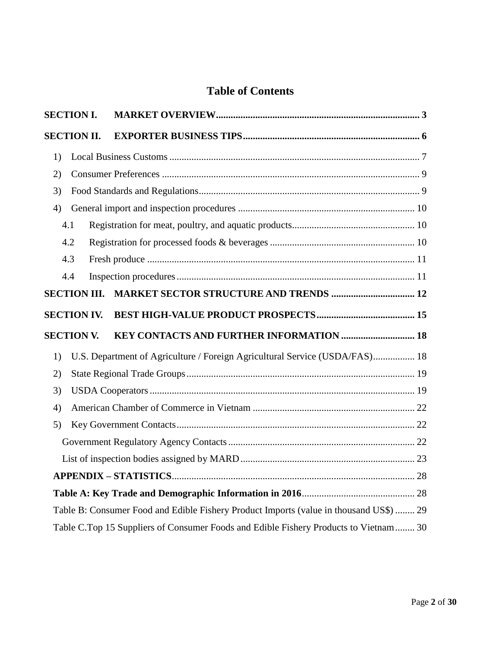## **Table of Contents**

| <b>SECTION I.</b>   |                                                                                        |
|---------------------|----------------------------------------------------------------------------------------|
| <b>SECTION II.</b>  |                                                                                        |
| 1)                  |                                                                                        |
| 2)                  |                                                                                        |
| 3)                  |                                                                                        |
| 4)                  |                                                                                        |
| 4.1                 |                                                                                        |
| 4.2                 |                                                                                        |
| 4.3                 |                                                                                        |
| 4.4                 |                                                                                        |
| <b>SECTION III.</b> | <b>MARKET SECTOR STRUCTURE AND TRENDS  12</b>                                          |
| <b>SECTION IV.</b>  |                                                                                        |
| <b>SECTION V.</b>   | KEY CONTACTS AND FURTHER INFORMATION  18                                               |
| 1)                  | U.S. Department of Agriculture / Foreign Agricultural Service (USDA/FAS) 18            |
| 2)                  |                                                                                        |
| 3)                  |                                                                                        |
| 4)                  |                                                                                        |
| 5)                  |                                                                                        |
|                     |                                                                                        |
|                     |                                                                                        |
|                     |                                                                                        |
|                     |                                                                                        |
|                     |                                                                                        |
|                     | Table B: Consumer Food and Edible Fishery Product Imports (value in thousand US\$)  29 |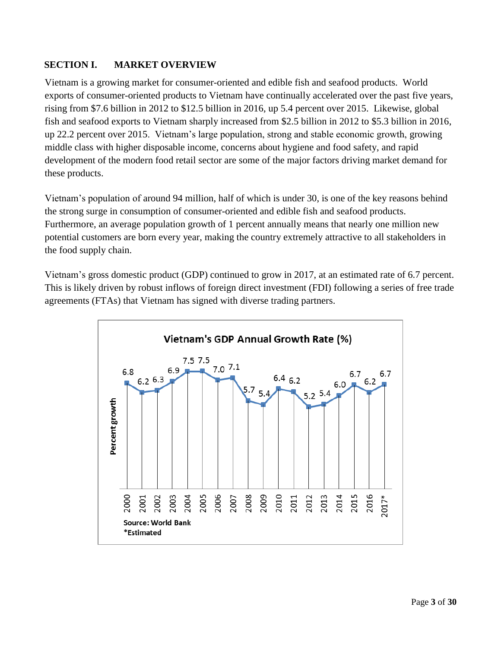## <span id="page-2-0"></span>**SECTION I. MARKET OVERVIEW**

Vietnam is a growing market for consumer-oriented and edible fish and seafood products. World exports of consumer-oriented products to Vietnam have continually accelerated over the past five years, rising from \$7.6 billion in 2012 to \$12.5 billion in 2016, up 5.4 percent over 2015. Likewise, global fish and seafood exports to Vietnam sharply increased from \$2.5 billion in 2012 to \$5.3 billion in 2016, up 22.2 percent over 2015. Vietnam's large population, strong and stable economic growth, growing middle class with higher disposable income, concerns about hygiene and food safety, and rapid development of the modern food retail sector are some of the major factors driving market demand for these products.

Vietnam's population of around 94 million, half of which is under 30, is one of the key reasons behind the strong surge in consumption of consumer-oriented and edible fish and seafood products. Furthermore, an average population growth of 1 percent annually means that nearly one million new potential customers are born every year, making the country extremely attractive to all stakeholders in the food supply chain.

Vietnam's gross domestic product (GDP) continued to grow in 2017, at an estimated rate of 6.7 percent. This is likely driven by robust inflows of foreign direct investment (FDI) following a series of free trade agreements (FTAs) that Vietnam has signed with diverse trading partners.

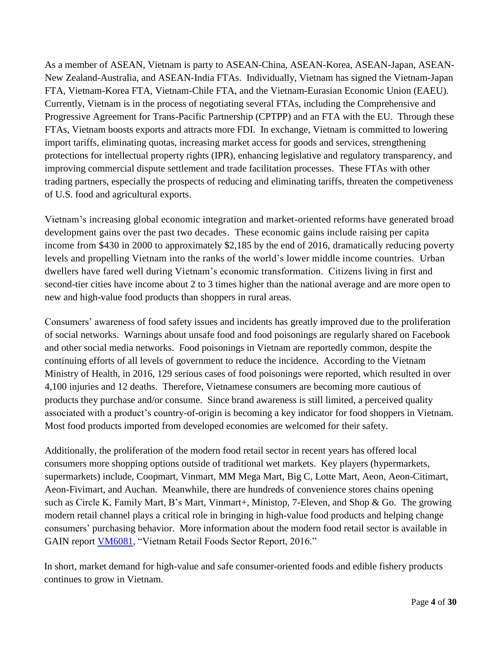As a member of ASEAN, Vietnam is party to ASEAN-China, ASEAN-Korea, ASEAN-Japan, ASEAN-New Zealand-Australia, and ASEAN-India FTAs. Individually, Vietnam has signed the Vietnam-Japan FTA, Vietnam-Korea FTA, Vietnam-Chile FTA, and the Vietnam-Eurasian Economic Union (EAEU). Currently, Vietnam is in the process of negotiating several FTAs, including the Comprehensive and Progressive Agreement for Trans-Pacific Partnership (CPTPP) and an FTA with the EU. Through these FTAs, Vietnam boosts exports and attracts more FDI. In exchange, Vietnam is committed to lowering import tariffs, eliminating quotas, increasing market access for goods and services, strengthening protections for intellectual property rights (IPR), enhancing legislative and regulatory transparency, and improving commercial dispute settlement and trade facilitation processes. These FTAs with other trading partners, especially the prospects of reducing and eliminating tariffs, threaten the competiveness of U.S. food and agricultural exports.

Vietnam's increasing global economic integration and market-oriented reforms have generated broad development gains over the past two decades. These economic gains include raising per capita income from \$430 in 2000 to approximately \$2,185 by the end of 2016, dramatically reducing poverty levels and propelling Vietnam into the ranks of the world's lower middle income countries. Urban dwellers have fared well during Vietnam's economic transformation. Citizens living in first and second-tier cities have income about 2 to 3 times higher than the national average and are more open to new and high-value food products than shoppers in rural areas.

Consumers' awareness of food safety issues and incidents has greatly improved due to the proliferation of social networks. Warnings about unsafe food and food poisonings are regularly shared on Facebook and other social media networks. Food poisonings in Vietnam are reportedly common, despite the continuing efforts of all levels of government to reduce the incidence. According to the Vietnam Ministry of Health, in 2016, 129 serious cases of food poisonings were reported, which resulted in over 4,100 injuries and 12 deaths. Therefore, Vietnamese consumers are becoming more cautious of products they purchase and/or consume. Since brand awareness is still limited, a perceived quality associated with a product's country-of-origin is becoming a key indicator for food shoppers in Vietnam. Most food products imported from developed economies are welcomed for their safety.

Additionally, the proliferation of the modern food retail sector in recent years has offered local consumers more shopping options outside of traditional wet markets. Key players (hypermarkets, supermarkets) include, Coopmart, Vinmart, MM Mega Mart, Big C, Lotte Mart, Aeon, Aeon-Citimart, Aeon-Fivimart, and Auchan. Meanwhile, there are hundreds of convenience stores chains opening such as Circle K, Family Mart, B's Mart, Vinmart+, Ministop, 7-Eleven, and Shop & Go. The growing modern retail channel plays a critical role in bringing in high-value food products and helping change consumers' purchasing behavior. More information about the modern food retail sector is available in GAIN report **VM6081**, "Vietnam Retail Foods Sector Report, 2016."

In short, market demand for high-value and safe consumer-oriented foods and edible fishery products continues to grow in Vietnam.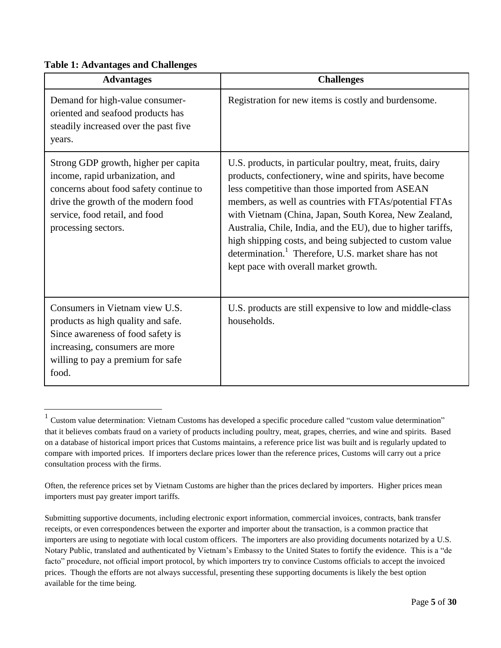#### **Table 1: Advantages and Challenges**

| <b>Advantages</b>                                                                                                                                                                                                 | <b>Challenges</b>                                                                                                                                                                                                                                                                                                                                                                                                                                                                                                                  |
|-------------------------------------------------------------------------------------------------------------------------------------------------------------------------------------------------------------------|------------------------------------------------------------------------------------------------------------------------------------------------------------------------------------------------------------------------------------------------------------------------------------------------------------------------------------------------------------------------------------------------------------------------------------------------------------------------------------------------------------------------------------|
| Demand for high-value consumer-<br>oriented and seafood products has<br>steadily increased over the past five<br>years.                                                                                           | Registration for new items is costly and burdensome.                                                                                                                                                                                                                                                                                                                                                                                                                                                                               |
| Strong GDP growth, higher per capita<br>income, rapid urbanization, and<br>concerns about food safety continue to<br>drive the growth of the modern food<br>service, food retail, and food<br>processing sectors. | U.S. products, in particular poultry, meat, fruits, dairy<br>products, confectionery, wine and spirits, have become<br>less competitive than those imported from ASEAN<br>members, as well as countries with FTAs/potential FTAs<br>with Vietnam (China, Japan, South Korea, New Zealand,<br>Australia, Chile, India, and the EU), due to higher tariffs,<br>high shipping costs, and being subjected to custom value<br>determination. <sup>1</sup> Therefore, U.S. market share has not<br>kept pace with overall market growth. |
| Consumers in Vietnam view U.S.<br>products as high quality and safe.<br>Since awareness of food safety is<br>increasing, consumers are more<br>willing to pay a premium for safe<br>food.                         | U.S. products are still expensive to low and middle-class<br>households.                                                                                                                                                                                                                                                                                                                                                                                                                                                           |

 1 Custom value determination: Vietnam Customs has developed a specific procedure called "custom value determination" that it believes combats fraud on a variety of products including poultry, meat, grapes, cherries, and wine and spirits. Based on a database of historical import prices that Customs maintains, a reference price list was built and is regularly updated to compare with imported prices. If importers declare prices lower than the reference prices, Customs will carry out a price consultation process with the firms.

Often, the reference prices set by Vietnam Customs are higher than the prices declared by importers. Higher prices mean importers must pay greater import tariffs.

Submitting supportive documents, including electronic export information, commercial invoices, contracts, bank transfer receipts, or even correspondences between the exporter and importer about the transaction, is a common practice that importers are using to negotiate with local custom officers. The importers are also providing documents notarized by a U.S. Notary Public, translated and authenticated by Vietnam's Embassy to the United States to fortify the evidence. This is a "de facto" procedure, not official import protocol, by which importers try to convince Customs officials to accept the invoiced prices. Though the efforts are not always successful, presenting these supporting documents is likely the best option available for the time being.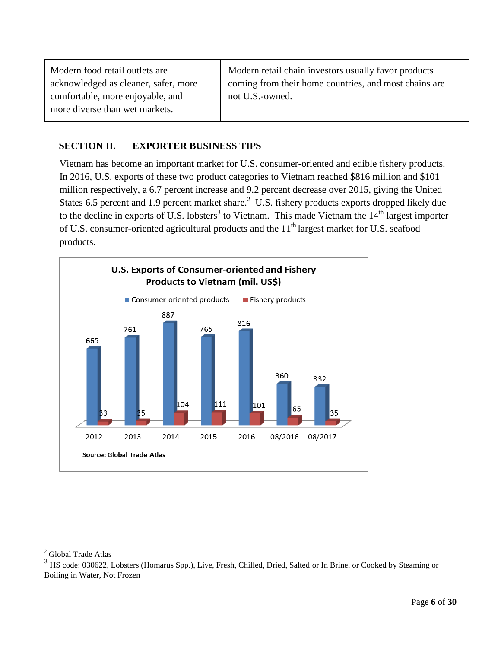Modern food retail outlets are acknowledged as cleaner, safer, more comfortable, more enjoyable, and more diverse than wet markets. Modern retail chain investors usually favor products coming from their home countries, and most chains are not U.S.-owned.

## <span id="page-5-0"></span>**SECTION II. EXPORTER BUSINESS TIPS**

Vietnam has become an important market for U.S. consumer-oriented and edible fishery products. In 2016, U.S. exports of these two product categories to Vietnam reached \$816 million and \$101 million respectively, a 6.7 percent increase and 9.2 percent decrease over 2015, giving the United States 6.5 percent and 1.9 percent market share.<sup>2</sup> U.S. fishery products exports dropped likely due to the decline in exports of U.S. lobsters<sup>3</sup> to Vietnam. This made Vietnam the  $14<sup>th</sup>$  largest importer of U.S. consumer-oriented agricultural products and the 11<sup>th</sup> largest market for U.S. seafood products.



<sup>2</sup> Global Trade Atlas

 $3$  HS code: 030622, Lobsters (Homarus Spp.), Live, Fresh, Chilled, Dried, Salted or In Brine, or Cooked by Steaming or Boiling in Water, Not Frozen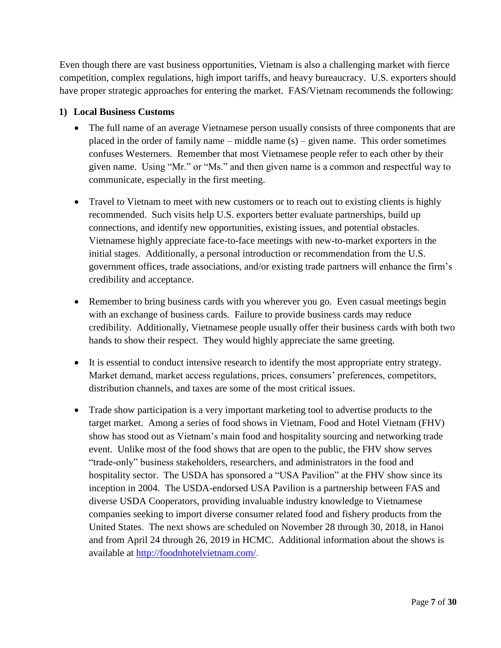Even though there are vast business opportunities, Vietnam is also a challenging market with fierce competition, complex regulations, high import tariffs, and heavy bureaucracy. U.S. exporters should have proper strategic approaches for entering the market. FAS/Vietnam recommends the following:

## <span id="page-6-0"></span>**1) Local Business Customs**

- The full name of an average Vietnamese person usually consists of three components that are placed in the order of family name – middle name  $(s)$  – given name. This order sometimes confuses Westerners. Remember that most Vietnamese people refer to each other by their given name. Using "Mr." or "Ms." and then given name is a common and respectful way to communicate, especially in the first meeting.
- Travel to Vietnam to meet with new customers or to reach out to existing clients is highly recommended. Such visits help U.S. exporters better evaluate partnerships, build up connections, and identify new opportunities, existing issues, and potential obstacles. Vietnamese highly appreciate face-to-face meetings with new-to-market exporters in the initial stages. Additionally, a personal introduction or recommendation from the U.S. government offices, trade associations, and/or existing trade partners will enhance the firm's credibility and acceptance.
- Remember to bring business cards with you wherever you go. Even casual meetings begin with an exchange of business cards. Failure to provide business cards may reduce credibility. Additionally, Vietnamese people usually offer their business cards with both two hands to show their respect. They would highly appreciate the same greeting.
- It is essential to conduct intensive research to identify the most appropriate entry strategy. Market demand, market access regulations, prices, consumers' preferences, competitors, distribution channels, and taxes are some of the most critical issues.
- Trade show participation is a very important marketing tool to advertise products to the target market. Among a series of food shows in Vietnam, Food and Hotel Vietnam (FHV) show has stood out as Vietnam's main food and hospitality sourcing and networking trade event. Unlike most of the food shows that are open to the public, the FHV show serves "trade-only" business stakeholders, researchers, and administrators in the food and hospitality sector. The USDA has sponsored a "USA Pavilion" at the FHV show since its inception in 2004. The USDA-endorsed USA Pavilion is a partnership between FAS and diverse USDA Cooperators, providing invaluable industry knowledge to Vietnamese companies seeking to import diverse consumer related food and fishery products from the United States. The next shows are scheduled on November 28 through 30, 2018, in Hanoi and from April 24 through 26, 2019 in HCMC. Additional information about the shows is available at [http://foodnhotelvietnam.com/.](http://foodnhotelvietnam.com/)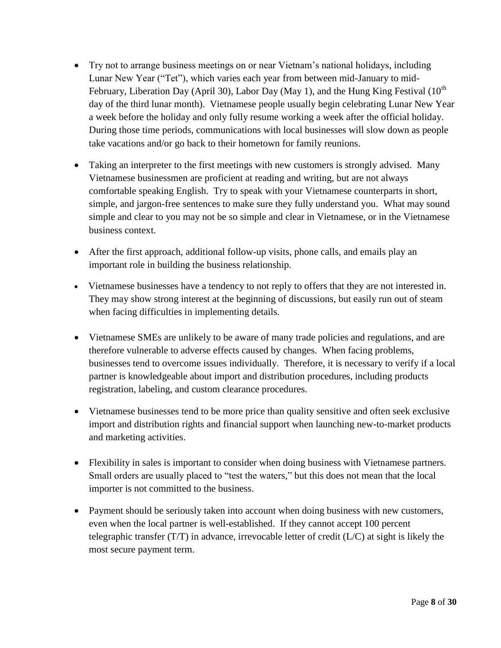- Try not to arrange business meetings on or near Vietnam's national holidays, including Lunar New Year ("Tet"), which varies each year from between mid-January to mid-February, Liberation Day (April 30), Labor Day (May 1), and the Hung King Festival  $(10^{th}$ day of the third lunar month). Vietnamese people usually begin celebrating Lunar New Year a week before the holiday and only fully resume working a week after the official holiday. During those time periods, communications with local businesses will slow down as people take vacations and/or go back to their hometown for family reunions.
- Taking an interpreter to the first meetings with new customers is strongly advised. Many Vietnamese businessmen are proficient at reading and writing, but are not always comfortable speaking English. Try to speak with your Vietnamese counterparts in short, simple, and jargon-free sentences to make sure they fully understand you. What may sound simple and clear to you may not be so simple and clear in Vietnamese, or in the Vietnamese business context.
- After the first approach, additional follow-up visits, phone calls, and emails play an important role in building the business relationship.
- Vietnamese businesses have a tendency to not reply to offers that they are not interested in. They may show strong interest at the beginning of discussions, but easily run out of steam when facing difficulties in implementing details.
- Vietnamese SMEs are unlikely to be aware of many trade policies and regulations, and are therefore vulnerable to adverse effects caused by changes. When facing problems, businesses tend to overcome issues individually. Therefore, it is necessary to verify if a local partner is knowledgeable about import and distribution procedures, including products registration, labeling, and custom clearance procedures.
- Vietnamese businesses tend to be more price than quality sensitive and often seek exclusive import and distribution rights and financial support when launching new-to-market products and marketing activities.
- Flexibility in sales is important to consider when doing business with Vietnamese partners. Small orders are usually placed to "test the waters," but this does not mean that the local importer is not committed to the business.
- Payment should be seriously taken into account when doing business with new customers, even when the local partner is well-established. If they cannot accept 100 percent telegraphic transfer  $(T/T)$  in advance, irrevocable letter of credit ( $L/C$ ) at sight is likely the most secure payment term.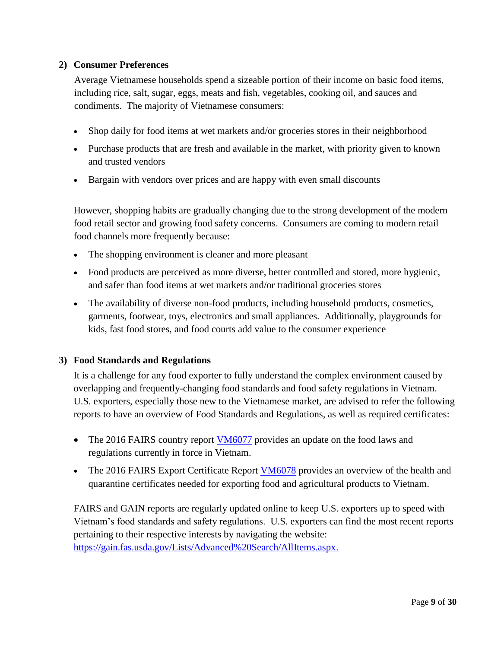## <span id="page-8-0"></span>**2) Consumer Preferences**

Average Vietnamese households spend a sizeable portion of their income on basic food items, including rice, salt, sugar, eggs, meats and fish, vegetables, cooking oil, and sauces and condiments. The majority of Vietnamese consumers:

- Shop daily for food items at wet markets and/or groceries stores in their neighborhood
- Purchase products that are fresh and available in the market, with priority given to known and trusted vendors
- Bargain with vendors over prices and are happy with even small discounts

However, shopping habits are gradually changing due to the strong development of the modern food retail sector and growing food safety concerns. Consumers are coming to modern retail food channels more frequently because:

- The shopping environment is cleaner and more pleasant
- Food products are perceived as more diverse, better controlled and stored, more hygienic, and safer than food items at wet markets and/or traditional groceries stores
- The availability of diverse non-food products, including household products, cosmetics, garments, footwear, toys, electronics and small appliances. Additionally, playgrounds for kids, fast food stores, and food courts add value to the consumer experience

## <span id="page-8-1"></span>**3) Food Standards and Regulations**

It is a challenge for any food exporter to fully understand the complex environment caused by overlapping and frequently-changing food standards and food safety regulations in Vietnam. U.S. exporters, especially those new to the Vietnamese market, are advised to refer the following reports to have an overview of Food Standards and Regulations, as well as required certificates:

- The 2016 FAIRS country report  $VM6077$  provides an update on the food laws and regulations currently in force in Vietnam.
- The 2016 FAIRS Export Certificate Report [VM6078](https://gain.fas.usda.gov/Recent%20GAIN%20Publications/Food%20and%20Agricultural%20Import%20Regulations%20and%20Standards%20-%20Certification_Hanoi_Vietnam_12-19-2016.pdf) provides an overview of the health and quarantine certificates needed for exporting food and agricultural products to Vietnam.

FAIRS and GAIN reports are regularly updated online to keep U.S. exporters up to speed with Vietnam's food standards and safety regulations. U.S. exporters can find the most recent reports pertaining to their respective interests by navigating the website: [https://gain.fas.usda.gov/Lists/Advanced%20Search/AllItems.aspx.](https://gain.fas.usda.gov/Lists/Advanced%20Search/AllItems.aspx)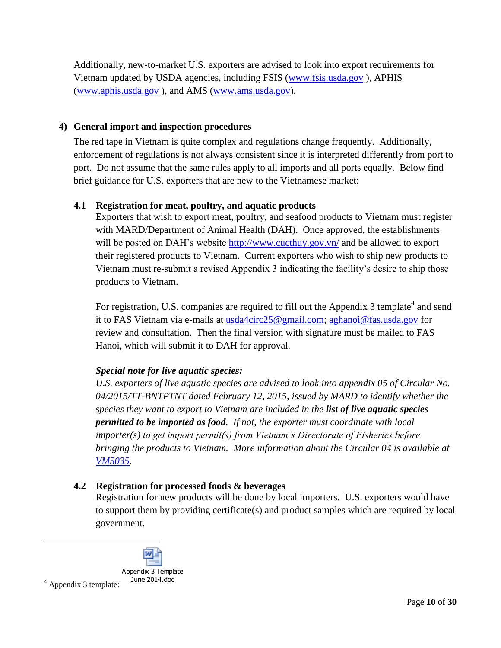Additionally, new-to-market U.S. exporters are advised to look into export requirements for Vietnam updated by USDA agencies, including FSIS [\(www.fsis.usda.gov](http://www.fsis.usda.gov/) ), APHIS [\(www.aphis.usda.gov](http://www.aphis.usda.gov/) ), and AMS [\(www.ams.usda.gov\)](http://www.ams.usda.gov/).

## <span id="page-9-0"></span>**4) General import and inspection procedures**

The red tape in Vietnam is quite complex and regulations change frequently. Additionally, enforcement of regulations is not always consistent since it is interpreted differently from port to port. Do not assume that the same rules apply to all imports and all ports equally. Below find brief guidance for U.S. exporters that are new to the Vietnamese market:

## <span id="page-9-1"></span>**4.1 Registration for meat, poultry, and aquatic products**

Exporters that wish to export meat, poultry, and seafood products to Vietnam must register with MARD/Department of Animal Health (DAH). Once approved, the establishments will be posted on DAH's website<http://www.cucthuy.gov.vn/> and be allowed to export their registered products to Vietnam. Current exporters who wish to ship new products to Vietnam must re-submit a revised Appendix 3 indicating the facility's desire to ship those products to Vietnam.

For registration, U.S. companies are required to fill out the Appendix 3 template<sup>4</sup> and send it to FAS Vietnam via e-mails at [usda4circ25@gmail.com;](mailto:usda4circ25@gmail.com) [aghanoi@fas.usda.gov](mailto:aghanoi@fas.usda.gov) for review and consultation. Then the final version with signature must be mailed to FAS Hanoi, which will submit it to DAH for approval.

## *Special note for live aquatic species:*

*U.S. exporters of live aquatic species are advised to look into appendix 05 of Circular No. 04/2015/TT-BNTPTNT dated February 12, 2015, issued by MARD to identify whether the species they want to export to Vietnam are included in the list of live aquatic species permitted to be imported as food. If not, the exporter must coordinate with local importer(s) to get import permit(s) from Vietnam's Directorate of Fisheries before bringing the products to Vietnam. More information about the Circular 04 is available at [VM5035.](https://gain.fas.usda.gov/Recent%20GAIN%20Publications/MARD%20Releases%20Circular%20Summarizing%20Import%20Procedures_Hanoi_Vietnam_6-2-2015.pdf)*

## <span id="page-9-2"></span>**4.2 Registration for processed foods & beverages**

Registration for new products will be done by local importers. U.S. exporters would have to support them by providing certificate(s) and product samples which are required by local government.

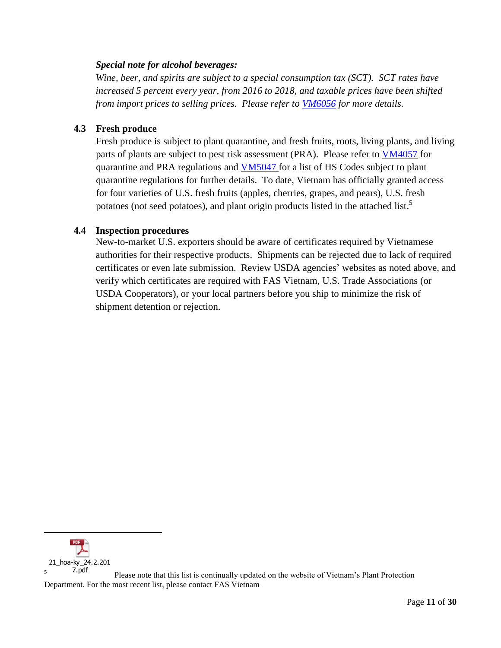## *Special note for alcohol beverages:*

*Wine, beer, and spirits are subject to a special consumption tax (SCT). SCT rates have increased 5 percent every year, from 2016 to 2018, and taxable prices have been shifted from import prices to selling prices. Please refer to [VM6056](https://gain.fas.usda.gov/Recent%20GAIN%20Publications/Changes%20to%20Special%20Consumption%20Tax%20on%20Alcoholic%20Beverages_Hanoi_Vietnam_9-27-2016.pdf) for more details.*

## <span id="page-10-0"></span>**4.3 Fresh produce**

Fresh produce is subject to plant quarantine, and fresh fruits, roots, living plants, and living parts of plants are subject to pest risk assessment (PRA). Please refer to [VM4057](https://gain.fas.usda.gov/Recent%20GAIN%20Publications/MARD%20Reissues%20Quarantine%20and%20Pest%20Risk%20Analysis%20Regs_Hanoi_Vietnam_11-4-2014.pdf) for quarantine and PRA regulations and [VM5047](https://gain.fas.usda.gov/Recent%20GAIN%20Publications/MARD%20Publishes%20List%20of%20HS%20Codes%20Subject%20to%20Plant%20Quarantine%20Regs_Hanoi_Vietnam_7-23-2015.pdf) for a list of HS Codes subject to plant quarantine regulations for further details. To date, Vietnam has officially granted access for four varieties of U.S. fresh fruits (apples, cherries, grapes, and pears), U.S. fresh potatoes (not seed potatoes), and plant origin products listed in the attached list.<sup>5</sup>

## <span id="page-10-1"></span>**4.4 Inspection procedures**

New-to-market U.S. exporters should be aware of certificates required by Vietnamese authorities for their respective products. Shipments can be rejected due to lack of required certificates or even late submission. Review USDA agencies' websites as noted above, and verify which certificates are required with FAS Vietnam, U.S. Trade Associations (or USDA Cooperators), or your local partners before you ship to minimize the risk of shipment detention or rejection.



Please note that this list is continually updated on the website of Vietnam's Plant Protection Department. For the most recent list, please contact FAS Vietnam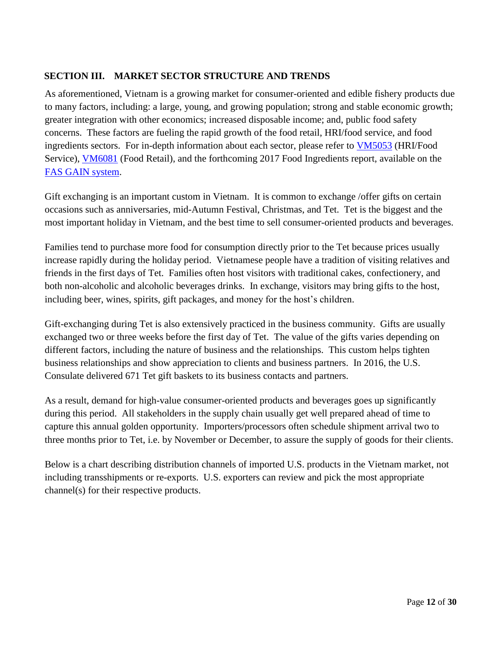## <span id="page-11-0"></span>**SECTION III. MARKET SECTOR STRUCTURE AND TRENDS**

As aforementioned, Vietnam is a growing market for consumer-oriented and edible fishery products due to many factors, including: a large, young, and growing population; strong and stable economic growth; greater integration with other economics; increased disposable income; and, public food safety concerns. These factors are fueling the rapid growth of the food retail, HRI/food service, and food ingredients sectors. For in-depth information about each sector, please refer to [VM5053](https://gain.fas.usda.gov/Recent%20GAIN%20Publications/Food%20Service%20-%20Hotel%20Restaurant%20Institutional_Hanoi_Vietnam_8-14-2015.pdf) (HRI/Food Service), [VM6081](https://gain.fas.usda.gov/Recent%20GAIN%20Publications/Retail%20Foods_Hanoi_Vietnam_3-7-2017.pdf) (Food Retail), and the forthcoming 2017 Food Ingredients report, available on the [FAS GAIN system.](https://gain.fas.usda.gov/lists/advanced%20search/allitems.aspx)

Gift exchanging is an important custom in Vietnam. It is common to exchange /offer gifts on certain occasions such as anniversaries, mid-Autumn Festival, Christmas, and Tet. Tet is the biggest and the most important holiday in Vietnam, and the best time to sell consumer-oriented products and beverages.

Families tend to purchase more food for consumption directly prior to the Tet because prices usually increase rapidly during the holiday period. Vietnamese people have a tradition of visiting relatives and friends in the first days of Tet. Families often host visitors with traditional cakes, confectionery, and both non-alcoholic and alcoholic beverages drinks. In exchange, visitors may bring gifts to the host, including beer, wines, spirits, gift packages, and money for the host's children.

Gift-exchanging during Tet is also extensively practiced in the business community. Gifts are usually exchanged two or three weeks before the first day of Tet. The value of the gifts varies depending on different factors, including the nature of business and the relationships. This custom helps tighten business relationships and show appreciation to clients and business partners. In 2016, the U.S. Consulate delivered 671 Tet gift baskets to its business contacts and partners.

As a result, demand for high-value consumer-oriented products and beverages goes up significantly during this period. All stakeholders in the supply chain usually get well prepared ahead of time to capture this annual golden opportunity. Importers/processors often schedule shipment arrival two to three months prior to Tet, i.e. by November or December, to assure the supply of goods for their clients.

Below is a chart describing distribution channels of imported U.S. products in the Vietnam market, not including transshipments or re-exports. U.S. exporters can review and pick the most appropriate channel(s) for their respective products.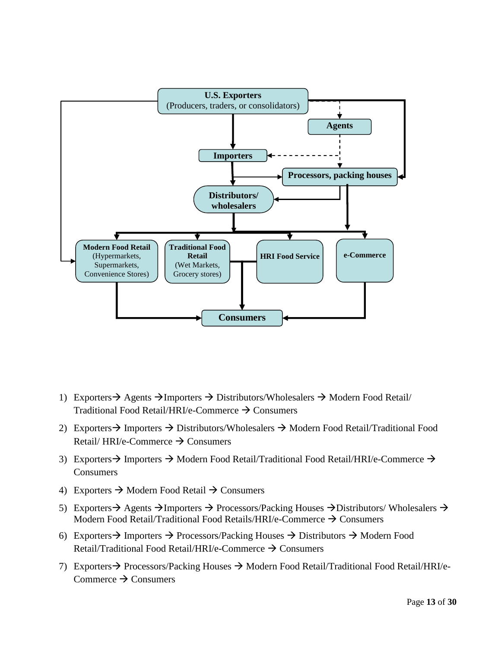

- 1) Exporters  $\rightarrow$  Agents  $\rightarrow$  Importers  $\rightarrow$  Distributors/Wholesalers  $\rightarrow$  Modern Food Retail/ Traditional Food Retail/HRI/e-Commerce  $\rightarrow$  Consumers
- 2) Exporters  $\rightarrow$  Importers  $\rightarrow$  Distributors/Wholesalers  $\rightarrow$  Modern Food Retail/Traditional Food Retail/ HRI/e-Commerce  $\rightarrow$  Consumers
- 3) Exporters  $\rightarrow$  Importers  $\rightarrow$  Modern Food Retail/Traditional Food Retail/HRI/e-Commerce  $\rightarrow$ **Consumers**
- 4) Exporters  $\rightarrow$  Modern Food Retail  $\rightarrow$  Consumers
- 5) Exporters  $\rightarrow$  Agents  $\rightarrow$  Importers  $\rightarrow$  Processors/Packing Houses  $\rightarrow$  Distributors/ Wholesalers  $\rightarrow$ Modern Food Retail/Traditional Food Retails/HRI/e-Commerce  $\rightarrow$  Consumers
- 6) Exporters  $\rightarrow$  Importers  $\rightarrow$  Processors/Packing Houses  $\rightarrow$  Distributors  $\rightarrow$  Modern Food Retail/Traditional Food Retail/HRI/e-Commerce  $\rightarrow$  Consumers
- 7) Exporters  $\rightarrow$  Processors/Packing Houses  $\rightarrow$  Modern Food Retail/Traditional Food Retail/HRI/e-Commerce  $\rightarrow$  Consumers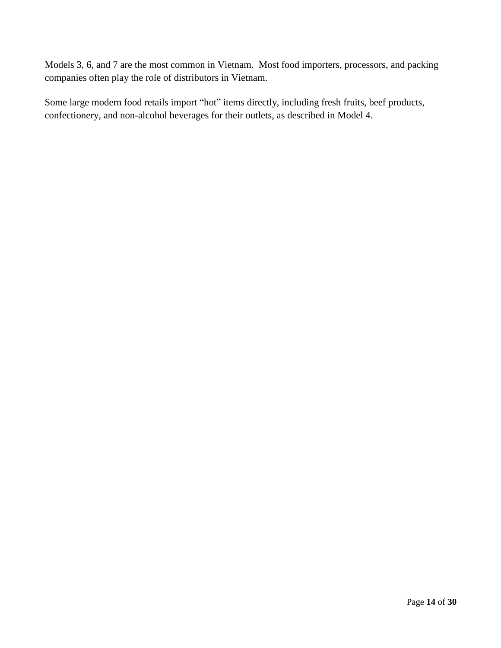Models 3, 6, and 7 are the most common in Vietnam. Most food importers, processors, and packing companies often play the role of distributors in Vietnam.

Some large modern food retails import "hot" items directly, including fresh fruits, beef products, confectionery, and non-alcohol beverages for their outlets, as described in Model 4.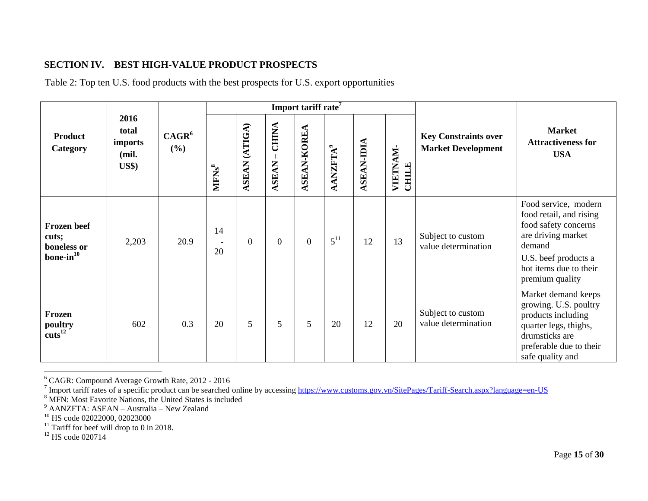## **SECTION IV. BEST HIGH-VALUE PRODUCT PROSPECTS**

Table 2: Top ten U.S. food products with the best prospects for U.S. export opportunities

<span id="page-14-0"></span>

|                                                           |                                                    |                          |                                                                                                                                                  |                |                          | Import tariff rate <sup>7</sup>                          |                                                          |    |    |                                          |                                                                                                                                                                              |
|-----------------------------------------------------------|----------------------------------------------------|--------------------------|--------------------------------------------------------------------------------------------------------------------------------------------------|----------------|--------------------------|----------------------------------------------------------|----------------------------------------------------------|----|----|------------------------------------------|------------------------------------------------------------------------------------------------------------------------------------------------------------------------------|
| <b>Product</b><br>Category                                | 2016<br>total<br>imports<br>(mil.<br><b>US\$</b> ) | CAGR <sup>6</sup><br>(%) | $-$ CHINA<br><b>ASEAN (ATIGA)</b><br><b>ASEAN-KOREA</b><br><b>ASEAN-IDIA</b><br><b>AANZFTA</b> <sup>9</sup><br><b>ASEAN</b><br>MFNs <sup>8</sup> |                | VIETNAM-<br><b>CHILE</b> | <b>Key Constraints over</b><br><b>Market Development</b> | <b>Market</b><br><b>Attractiveness for</b><br><b>USA</b> |    |    |                                          |                                                                                                                                                                              |
| <b>Frozen</b> beef<br>cuts;<br>boneless or<br>$bone-in10$ | 2,203                                              | 20.9                     | 14<br>20                                                                                                                                         | $\overline{0}$ | $\overline{0}$           | $\overline{0}$                                           | $5^{11}$                                                 | 12 | 13 | Subject to custom<br>value determination | Food service, modern<br>food retail, and rising<br>food safety concerns<br>are driving market<br>demand<br>U.S. beef products a<br>hot items due to their<br>premium quality |
| Frozen<br>poultry<br>cuts <sup>12</sup>                   | 602                                                | 0.3                      | 20                                                                                                                                               | 5              | 5                        | 5                                                        | 20                                                       | 12 | 20 | Subject to custom<br>value determination | Market demand keeps<br>growing. U.S. poultry<br>products including<br>quarter legs, thighs,<br>drumsticks are<br>preferable due to their<br>safe quality and                 |

<sup>&</sup>lt;sup>6</sup> CAGR: Compound Average Growth Rate, 2012 - 2016<br><sup>7</sup> Import tariff rates of a specific product can be searched online by accessing <u>https://www.customs.gov.vn/SitePages/Tariff-Search.aspx?language=en-US</u>

<sup>&</sup>lt;sup>8</sup> MFN: Most Favorite Nations, the United States is included

<sup>&</sup>lt;sup>9</sup> AANZFTA: ASEAN – Australia – New Zealand

<sup>10</sup> HS code 02022000, 02023000

 $11$  Tariff for beef will drop to 0 in 2018.

 $12$  HS code 020714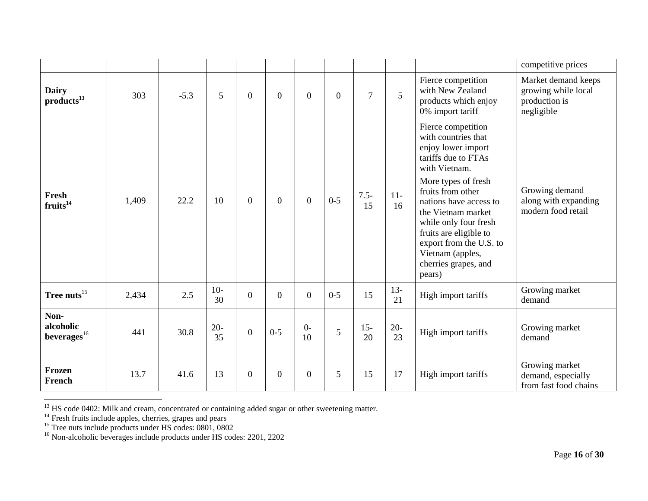|                                        |       |        |              |                |                |                |                  |                |              |                                                                                                                                                                                                                                                                                                                                         | competitive prices                                                        |  |
|----------------------------------------|-------|--------|--------------|----------------|----------------|----------------|------------------|----------------|--------------|-----------------------------------------------------------------------------------------------------------------------------------------------------------------------------------------------------------------------------------------------------------------------------------------------------------------------------------------|---------------------------------------------------------------------------|--|
| <b>Dairy</b><br>products <sup>13</sup> | 303   | $-5.3$ | 5            | $\overline{0}$ | $\Omega$       | $\Omega$       | $\boldsymbol{0}$ | $\overline{7}$ | 5            | Fierce competition<br>with New Zealand<br>products which enjoy<br>0% import tariff                                                                                                                                                                                                                                                      | Market demand keeps<br>growing while local<br>production is<br>negligible |  |
| Fresh<br>fruits <sup>14</sup>          | 1,409 | 22.2   | 10           | $\overline{0}$ | $\overline{0}$ | $\theta$       | $0 - 5$          | $7.5 -$<br>15  | $11-$<br>16  | Fierce competition<br>with countries that<br>enjoy lower import<br>tariffs due to FTAs<br>with Vietnam.<br>More types of fresh<br>fruits from other<br>nations have access to<br>the Vietnam market<br>while only four fresh<br>fruits are eligible to<br>export from the U.S. to<br>Vietnam (apples,<br>cherries grapes, and<br>pears) | Growing demand<br>along with expanding<br>modern food retail              |  |
| Tree nuts <sup>15</sup>                | 2,434 | 2.5    | $10-$<br>30  | $\overline{0}$ | $\overline{0}$ | $\overline{0}$ | $0-5$            | 15             | $13 -$<br>21 | High import tariffs                                                                                                                                                                                                                                                                                                                     | Growing market<br>demand                                                  |  |
| Non-<br>alcoholic<br>beverages $^{16}$ | 441   | 30.8   | $20 -$<br>35 | $\overline{0}$ | $0 - 5$        | $0-$<br>10     | 5                | $15 -$<br>20   | $20 -$<br>23 | High import tariffs                                                                                                                                                                                                                                                                                                                     | Growing market<br>demand                                                  |  |
| Frozen<br>French                       | 13.7  | 41.6   | 13           | $\overline{0}$ | $\overline{0}$ | $\overline{0}$ | 5                | 15             | 17           | High import tariffs                                                                                                                                                                                                                                                                                                                     | Growing market<br>demand, especially<br>from fast food chains             |  |

 $13$  HS code 0402: Milk and cream, concentrated or containing added sugar or other sweetening matter.

 $14$  Fresh fruits include apples, cherries, grapes and pears

<sup>&</sup>lt;sup>15</sup> Tree nuts include products under HS codes: 0801, 0802

<sup>&</sup>lt;sup>16</sup> Non-alcoholic beverages include products under HS codes: 2201, 2202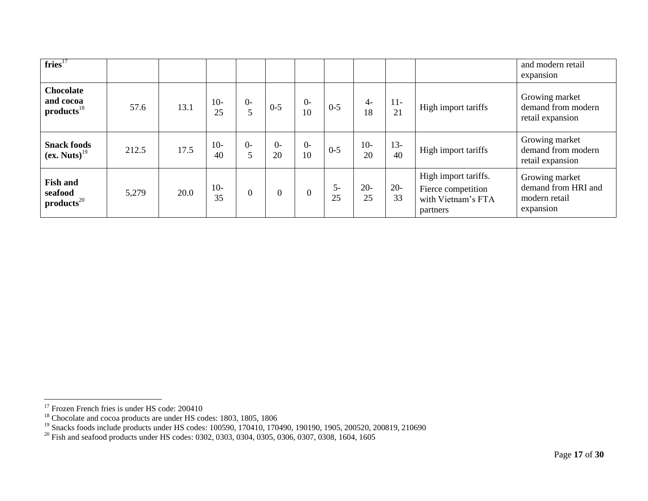| fries <sup>17</sup>                                       |       |      |             |                |                |            |            |             |                                                                                              |                     | and modern retail<br>expansion                                      |
|-----------------------------------------------------------|-------|------|-------------|----------------|----------------|------------|------------|-------------|----------------------------------------------------------------------------------------------|---------------------|---------------------------------------------------------------------|
| <b>Chocolate</b><br>and cocoa<br>$products$ <sup>18</sup> | 57.6  | 13.1 | $10-$<br>25 | $\Omega$<br>5  | $0 - 5$        | $0-$<br>10 | $0 - 5$    | $4-$<br>18  | $11-$<br>21                                                                                  | High import tariffs | Growing market<br>demand from modern<br>retail expansion            |
| <b>Snack foods</b><br>$(ex. Nuts)^{19}$                   | 212.5 | 17.5 | $10-$<br>40 | $0-$<br>5      | $0-$<br>20     | $0-$<br>10 | $0 - 5$    | $10-$<br>20 | $13 -$<br>40                                                                                 | High import tariffs | Growing market<br>demand from modern<br>retail expansion            |
| <b>Fish and</b><br>seafood<br>products <sup>20</sup>      | 5,279 | 20.0 | $10-$<br>35 | $\overline{0}$ | $\overline{0}$ | $\theta$   | $5-$<br>25 | $20-$<br>25 | High import tariffs.<br>$20 -$<br>Fierce competition<br>33<br>with Vietnam's FTA<br>partners |                     | Growing market<br>demand from HRI and<br>modern retail<br>expansion |

 $17$  Frozen French fries is under HS code: 200410

<sup>&</sup>lt;sup>18</sup> Chocolate and cocoa products are under HS codes: 1803, 1805, 1806

<sup>&</sup>lt;sup>19</sup> Snacks foods include products under HS codes: 100590, 170410, 170490, 190190, 1905, 200520, 200819, 210690

<sup>&</sup>lt;sup>20</sup> Fish and seafood products under HS codes: 0302, 0303, 0304, 0305, 0306, 0307, 0308, 1604, 1605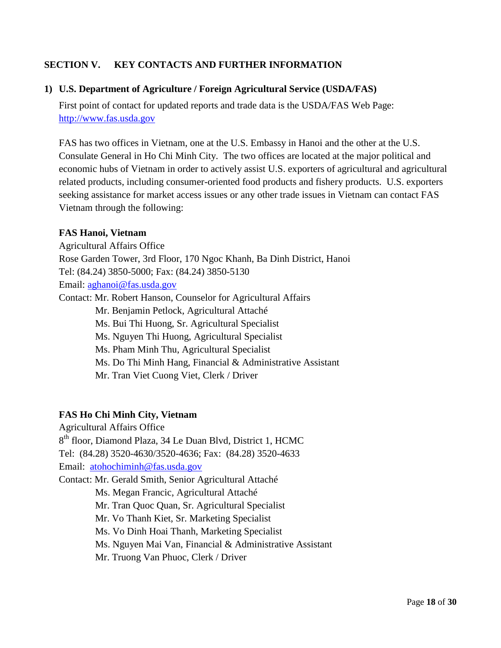## <span id="page-17-0"></span>**SECTION V. KEY CONTACTS AND FURTHER INFORMATION**

#### <span id="page-17-1"></span>**1) U.S. Department of Agriculture / Foreign Agricultural Service (USDA/FAS)**

First point of contact for updated reports and trade data is the USDA/FAS Web Page: [http://www.fas.usda.gov](http://www.fas.usda.gov/)

FAS has two offices in Vietnam, one at the U.S. Embassy in Hanoi and the other at the U.S. Consulate General in Ho Chi Minh City. The two offices are located at the major political and economic hubs of Vietnam in order to actively assist U.S. exporters of agricultural and agricultural related products, including consumer-oriented food products and fishery products. U.S. exporters seeking assistance for market access issues or any other trade issues in Vietnam can contact FAS Vietnam through the following:

#### **FAS Hanoi, Vietnam**

Agricultural Affairs Office Rose Garden Tower, 3rd Floor, 170 Ngoc Khanh, Ba Dinh District, Hanoi Tel: (84.24) 3850-5000; Fax: (84.24) 3850-5130 Email: [aghanoi@fas.usda.gov](mailto:aghanoi@fas.usda.gov) Contact: Mr. Robert Hanson, Counselor for Agricultural Affairs Mr. Benjamin Petlock, Agricultural Attaché Ms. Bui Thi Huong, Sr. Agricultural Specialist Ms. Nguyen Thi Huong, Agricultural Specialist Ms. Pham Minh Thu, Agricultural Specialist Ms. Do Thi Minh Hang, Financial & Administrative Assistant Mr. Tran Viet Cuong Viet, Clerk / Driver

#### **FAS Ho Chi Minh City, Vietnam**

Agricultural Affairs Office 8 th floor, Diamond Plaza, 34 Le Duan Blvd, District 1, HCMC Tel: (84.28) 3520-4630/3520-4636; Fax: (84.28) 3520-4633 Email: [atohochiminh@fas.usda.gov](mailto:atohochiminh@fas.usda.gov) Contact: Mr. Gerald Smith, Senior Agricultural Attaché Ms. Megan Francic, Agricultural Attaché Mr. Tran Quoc Quan, Sr. Agricultural Specialist Mr. Vo Thanh Kiet, Sr. Marketing Specialist Ms. Vo Dinh Hoai Thanh, Marketing Specialist Ms. Nguyen Mai Van, Financial & Administrative Assistant

Mr. Truong Van Phuoc, Clerk / Driver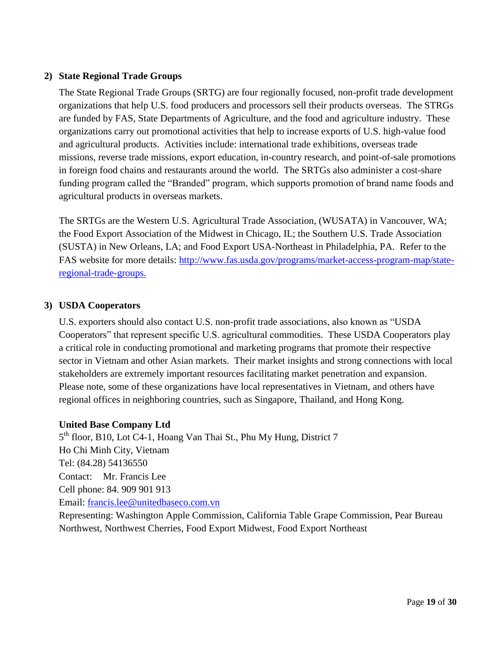## <span id="page-18-0"></span>**2) State Regional Trade Groups**

The State Regional Trade Groups (SRTG) are four regionally focused, non-profit trade development organizations that help U.S. food producers and processors sell their products overseas. The STRGs are funded by FAS, State Departments of Agriculture, and the food and agriculture industry. These organizations carry out promotional activities that help to increase exports of U.S. high-value food and agricultural products. Activities include: international trade exhibitions, overseas trade missions, reverse trade missions, export education, in-country research, and point-of-sale promotions in foreign food chains and restaurants around the world. The SRTGs also administer a cost-share funding program called the "Branded" program, which supports promotion of brand name foods and agricultural products in overseas markets.

The SRTGs are the Western U.S. Agricultural Trade Association, (WUSATA) in Vancouver, WA; the Food Export Association of the Midwest in Chicago, IL; the Southern U.S. Trade Association (SUSTA) in New Orleans, LA; and Food Export USA-Northeast in Philadelphia, PA. Refer to the FAS website for more details: [http://www.fas.usda.gov/programs/market-access-program-map/state](http://www.fas.usda.gov/programs/market-access-program-map/state-regional-trade-groups)[regional-trade-groups.](http://www.fas.usda.gov/programs/market-access-program-map/state-regional-trade-groups)

## <span id="page-18-1"></span>**3) USDA Cooperators**

U.S. exporters should also contact U.S. non-profit trade associations, also known as "USDA Cooperators" that represent specific U.S. agricultural commodities. These USDA Cooperators play a critical role in conducting promotional and marketing programs that promote their respective sector in Vietnam and other Asian markets. Their market insights and strong connections with local stakeholders are extremely important resources facilitating market penetration and expansion. Please note, some of these organizations have local representatives in Vietnam, and others have regional offices in neighboring countries, such as Singapore, Thailand, and Hong Kong.

## **United Base Company Ltd**

5<sup>th</sup> floor, B10, Lot C4-1, Hoang Van Thai St., Phu My Hung, District 7 Ho Chi Minh City, Vietnam Tel: (84.28) 54136550 Contact: Mr. Francis Lee Cell phone: 84. 909 901 913 Email: [francis.lee@unitedbaseco.com.vn](mailto:francis.lee@unitedbaseco.com.vn) Representing: Washington Apple Commission, California Table Grape Commission, Pear Bureau

Northwest, Northwest Cherries, Food Export Midwest, Food Export Northeast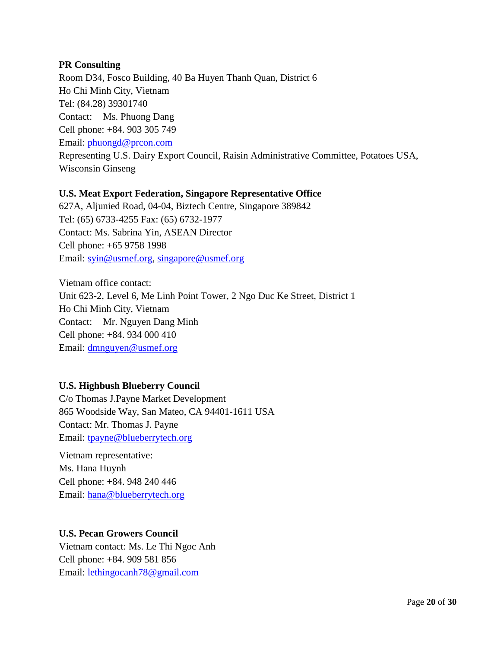## **PR Consulting**

Room D34, Fosco Building, 40 Ba Huyen Thanh Quan, District 6 Ho Chi Minh City, Vietnam Tel: (84.28) 39301740 Contact: Ms. Phuong Dang Cell phone: +84. 903 305 749 Email: [phuongd@prcon.com](mailto:phuongd@prcon.com) Representing U.S. Dairy Export Council, Raisin Administrative Committee, Potatoes USA, Wisconsin Ginseng

## **U.S. Meat Export Federation, Singapore Representative Office**

627A, Aljunied Road, 04-04, Biztech Centre, Singapore 389842 Tel: (65) 6733-4255 Fax: (65) 6732-1977 Contact: Ms. Sabrina Yin, ASEAN Director Cell phone: +65 9758 1998 Email: [syin@usmef.org,](mailto:syin@usmef.org) [singapore@usmef.org](mailto:singapore@usmef.org)

Vietnam office contact: Unit 623-2, Level 6, Me Linh Point Tower, 2 Ngo Duc Ke Street, District 1 Ho Chi Minh City, Vietnam Contact: Mr. Nguyen Dang Minh Cell phone: +84. 934 000 410 Email: [dmnguyen@usmef.org](mailto:dmnguyen@usmef.org)

## **U.S. Highbush Blueberry Council**

C/o Thomas J.Payne Market Development 865 Woodside Way, San Mateo, CA 94401-1611 USA Contact: Mr. Thomas J. Payne Email: [tpayne@blueberrytech.org](mailto:tpayne@blueberrytech.org)

Vietnam representative: Ms. Hana Huynh Cell phone: +84. 948 240 446 Email: [hana@blueberrytech.org](mailto:hana@blueberrytech.org)

## **U.S. Pecan Growers Council**

Vietnam contact: Ms. Le Thi Ngoc Anh Cell phone: +84. 909 581 856 Email: [lethingocanh78@gmail.com](mailto:lethingocanh78@gmail.com)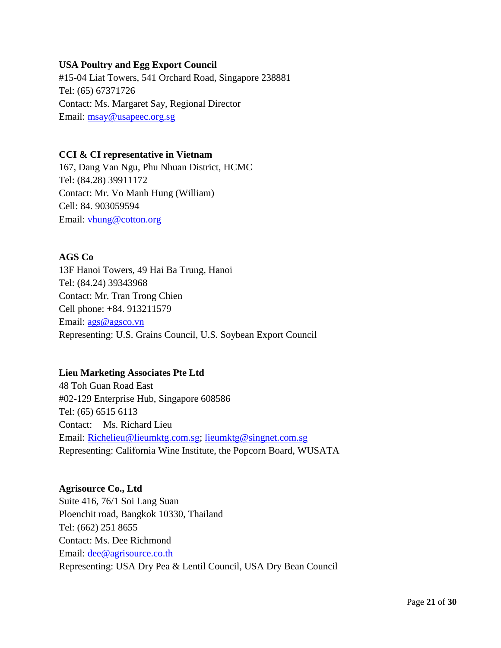## **USA Poultry and Egg Export Council**

#15-04 Liat Towers, 541 Orchard Road, Singapore 238881 Tel: (65) 67371726 Contact: Ms. Margaret Say, Regional Director Email: [msay@usapeec.org.sg](mailto:msay@usapeec.org.sg)

## **CCI & CI representative in Vietnam**

167, Dang Van Ngu, Phu Nhuan District, HCMC Tel: (84.28) 39911172 Contact: Mr. Vo Manh Hung (William) Cell: 84. 903059594 Email: [vhung@cotton.org](mailto:vhung@cotton.org)

## **AGS Co**

13F Hanoi Towers, 49 Hai Ba Trung, Hanoi Tel: (84.24) 39343968 Contact: Mr. Tran Trong Chien Cell phone: +84. 913211579 Email: [ags@agsco.vn](mailto:ags@agsco.vn) Representing: U.S. Grains Council, U.S. Soybean Export Council

## **Lieu Marketing Associates Pte Ltd**

48 Toh Guan Road East #02-129 Enterprise Hub, Singapore 608586 Tel: (65) 6515 6113 Contact: Ms. Richard Lieu Email: [Richelieu@lieumktg.com.sg;](mailto:Richelieu@lieumktg.com.sg) [lieumktg@singnet.com.sg](mailto:lieumktg@singnet.com.sg) Representing: California Wine Institute, the Popcorn Board, WUSATA

**Agrisource Co., Ltd** Suite 416, 76/1 Soi Lang Suan Ploenchit road, Bangkok 10330, Thailand Tel: (662) 251 8655 Contact: Ms. Dee Richmond Email: <u>dee@agrisource.co.th</u> Representing: USA Dry Pea & Lentil Council, USA Dry Bean Council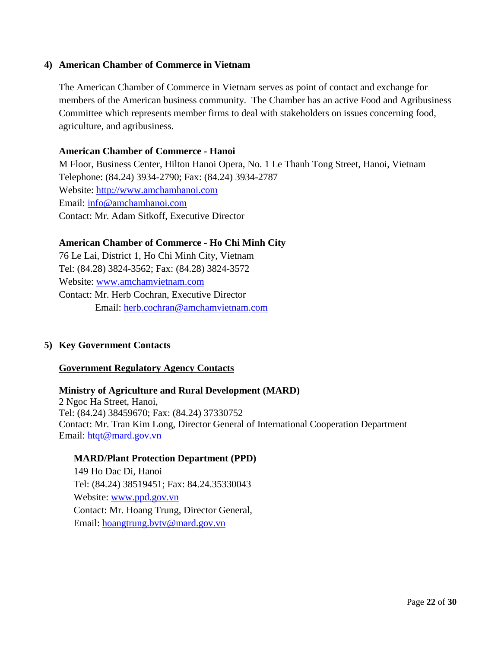## <span id="page-21-0"></span>**4) American Chamber of Commerce in Vietnam**

The American Chamber of Commerce in Vietnam serves as point of contact and exchange for members of the American business community. The Chamber has an active Food and Agribusiness Committee which represents member firms to deal with stakeholders on issues concerning food, agriculture, and agribusiness.

#### **American Chamber of Commerce - Hanoi**

M Floor, Business Center, Hilton Hanoi Opera, No. 1 Le Thanh Tong Street, Hanoi, Vietnam Telephone: (84.24) 3934-2790; Fax: (84.24) 3934-2787 Website: [http://www.amchamhanoi.com](http://www.amchamhanoi.com/) Email: [info@amchamhanoi.com](mailto:info@amchamhanoi.com) Contact: Mr. Adam Sitkoff, Executive Director

## **American Chamber of Commerce - Ho Chi Minh City**

76 Le Lai, District 1, Ho Chi Minh City, Vietnam Tel: (84.28) 3824-3562; Fax: (84.28) 3824-3572 Website: [www.amchamvietnam.com](http://www.amchamvietnam.com/) Contact: Mr. Herb Cochran, Executive Director Email: [herb.cochran@amchamvietnam.com](mailto:herb.cochran@amchamvietnam.com)

## <span id="page-21-1"></span>**5) Key Government Contacts**

#### <span id="page-21-2"></span>**Government Regulatory Agency Contacts**

## **Ministry of Agriculture and Rural Development (MARD)**  2 Ngoc Ha Street, Hanoi, Tel: (84.24) 38459670; Fax: (84.24) 37330752 Contact: Mr. Tran Kim Long, Director General of International Cooperation Department Email: [htqt@mard.gov.vn](mailto:htqt@mard.gov.vn)

#### **MARD/Plant Protection Department (PPD)**

149 Ho Dac Di, Hanoi Tel: (84.24) 38519451; Fax: 84.24.35330043 Website: [www.ppd.gov.vn](http://www.ppd.gov.vn/) Contact: Mr. Hoang Trung, Director General, Email: [hoangtrung.bvtv@mard.gov.vn](mailto:hoangtrung.bvtv@mard.gov.vn)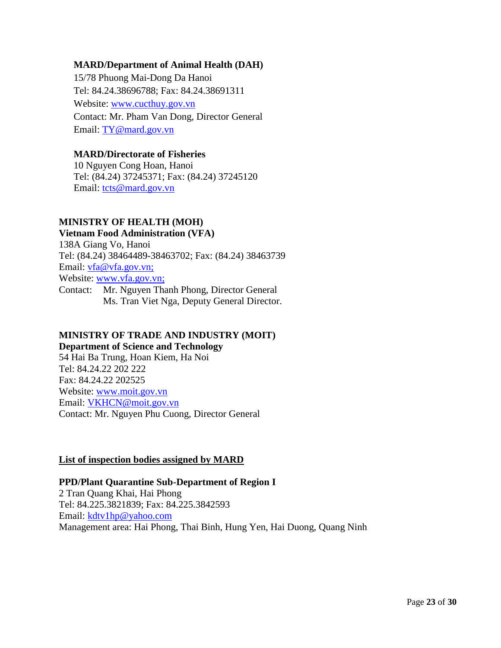## **MARD/Department of Animal Health (DAH)**

15/78 Phuong Mai-Dong Da Hanoi Tel: 84.24.38696788; Fax: 84.24.38691311 Website: [www.cucthuy.gov.vn](http://www.cucthuy.gov.vn/) Contact: Mr. Pham Van Dong, Director General Email: [TY@mard.gov.vn](mailto:TY@mard.gov.vn)

## **MARD/Directorate of Fisheries**

10 Nguyen Cong Hoan, Hanoi Tel: (84.24) 37245371; Fax: (84.24) 37245120 Email: [tcts@mard.gov.vn](mailto:tcts@mard.gov.vn)

#### **MINISTRY OF HEALTH (MOH)**

## **Vietnam Food Administration (VFA)**

138A Giang Vo, Hanoi Tel: (84.24) 38464489-38463702; Fax: (84.24) 38463739 Email: [vfa@vfa.gov.vn;](mailto:vfa@vfa.gov.vn) Website: [www.vfa.gov.vn;](http://www.vfa.gov.vn/) Contact: Mr. Nguyen Thanh Phong, Director General Ms. Tran Viet Nga, Deputy General Director.

## **MINISTRY OF TRADE AND INDUSTRY (MOIT)**

**Department of Science and Technology**

54 Hai Ba Trung, Hoan Kiem, Ha Noi Tel: 84.24.22 202 222 Fax: 84.24.22 202525 Website: [www.moit.gov.vn](http://www.moit.gov.vn/) Email: [VKHCN@moit.gov.vn](mailto:VKHCN@moit.gov.vn) Contact: Mr. Nguyen Phu Cuong, Director General

## <span id="page-22-0"></span>**List of inspection bodies assigned by MARD**

## **PPD/Plant Quarantine Sub-Department of Region I**

2 Tran Quang Khai, Hai Phong Tel: 84.225.3821839; Fax: 84.225.3842593 Email: [kdtv1hp@yahoo.com](mailto:kdtv1hp@yahoo.com) Management area: Hai Phong, Thai Binh, Hung Yen, Hai Duong, Quang Ninh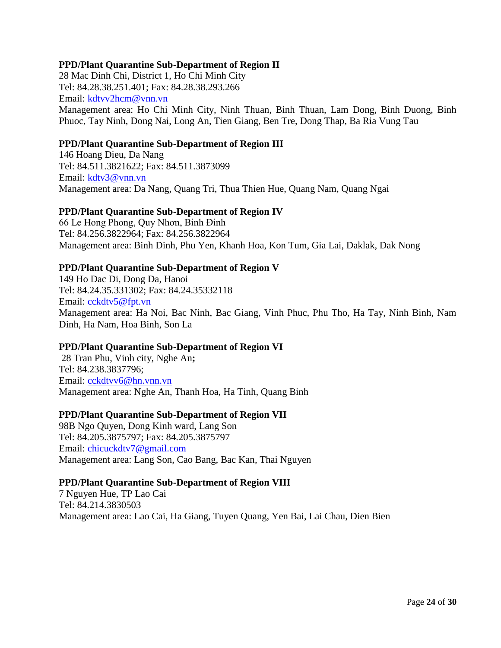#### **PPD/Plant Quarantine Sub-Department of Region II**

28 Mac Dinh Chi, District 1, Ho Chi Minh City Tel: 84.28.38.251.401; Fax: 84.28.38.293.266 Email: [kdtvv2hcm@vnn.vn](mailto:kdtvv2hcm@vnn.vn) Management area: Ho Chi Minh City, Ninh Thuan, Binh Thuan, Lam Dong, Binh Duong, Binh Phuoc, Tay Ninh, Dong Nai, Long An, Tien Giang, Ben Tre, Dong Thap, Ba Ria Vung Tau

#### **PPD/Plant Quarantine Sub-Department of Region III**

146 Hoang Dieu, Da Nang Tel: 84.511.3821622; Fax: 84.511.3873099 Email: [kdtv3@vnn.vn](mailto:kdtv3@vnn.vn) Management area: Da Nang, Quang Tri, Thua Thien Hue, Quang Nam, Quang Ngai

#### **PPD/Plant Quarantine Sub-Department of Region IV**

66 Le Hong Phong, Quy Nhơn, Binh Đinh Tel: 84.256.3822964; Fax: 84.256.3822964 Management area: Binh Dinh, Phu Yen, Khanh Hoa, Kon Tum, Gia Lai, Daklak, Dak Nong

#### **PPD/Plant Quarantine Sub-Department of Region V**

149 Ho Dac Di, Dong Da, Hanoi Tel: 84.24.35.331302; Fax: 84.24.35332118 Email: [cckdtv5@fpt.vn](mailto:cckdtv5@fpt.vn) Management area: Ha Noi, Bac Ninh, Bac Giang, Vinh Phuc, Phu Tho, Ha Tay, Ninh Binh, Nam Dinh, Ha Nam, Hoa Binh, Son La

## **PPD/Plant Quarantine Sub-Department of Region VI**

28 Tran Phu, Vinh city, Nghe An**;**  Tel: 84.238.3837796; Email: [cckdtvv6@hn.vnn.vn](mailto:cckdtvv6@hn.vnn.vn) Management area: Nghe An, Thanh Hoa, Ha Tinh, Quang Binh

#### **PPD/Plant Quarantine Sub-Department of Region VII**

98B Ngo Quyen, Dong Kinh ward, Lang Son Tel: 84.205.3875797; Fax: 84.205.3875797 Email: [chicuckdtv7@gmail.com](mailto:chicuckdtv7@gmail.com) Management area: Lang Son, Cao Bang, Bac Kan, Thai Nguyen

#### **PPD/Plant Quarantine Sub-Department of Region VIII**

7 Nguyen Hue, TP Lao Cai Tel: 84.214.3830503 Management area: Lao Cai, Ha Giang, Tuyen Quang, Yen Bai, Lai Chau, Dien Bien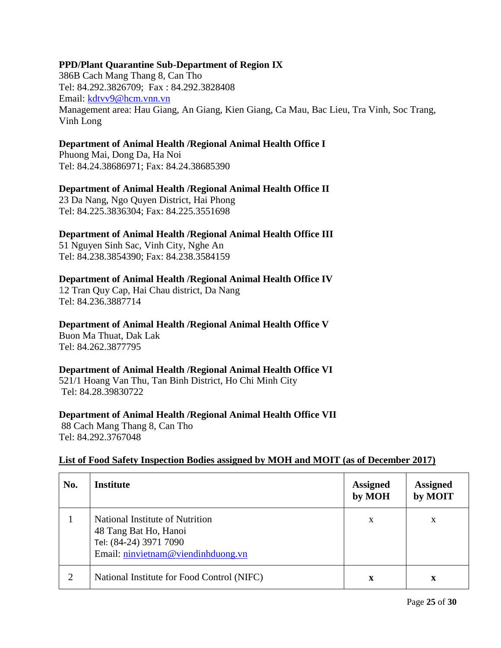## **PPD/Plant Quarantine Sub-Department of Region IX**

386B Cach Mang Thang 8, Can Tho Tel: 84.292.3826709; Fax : 84.292.3828408 Email: [kdtvv9@hcm.vnn.vn](mailto:kdtvv9@hcm.vnn.vn) Management area: Hau Giang, An Giang, Kien Giang, Ca Mau, Bac Lieu, Tra Vinh, Soc Trang, Vinh Long

## **Department of Animal Health /Regional Animal Health Office I**

Phuong Mai, Dong Da, Ha Noi Tel: 84.24.38686971; Fax: 84.24.38685390

## **Department of Animal Health /Regional Animal Health Office II**

23 Da Nang, Ngo Quyen District, Hai Phong Tel: 84.225.3836304; Fax: 84.225.3551698

#### **Department of Animal Health /Regional Animal Health Office III**

51 Nguyen Sinh Sac, Vinh City, Nghe An Tel: 84.238.3854390; Fax: 84.238.3584159

#### **Department of Animal Health /Regional Animal Health Office IV**

12 Tran Quy Cap, Hai Chau district, Da Nang Tel: 84.236.3887714

#### **Department of Animal Health /Regional Animal Health Office V**

Buon Ma Thuat, Dak Lak Tel: 84.262.3877795

## **Department of Animal Health /Regional Animal Health Office VI**

521/1 Hoang Van Thu, Tan Binh District, Ho Chi Minh City Tel: 84.28.39830722

#### **Department of Animal Health /Regional Animal Health Office VII**

88 Cach Mang Thang 8, Can Tho Tel: 84.292.3767048

#### **List of Food Safety Inspection Bodies assigned by MOH and MOIT (as of December 2017)**

| No. | <b>Institute</b>                                                                                                         | <b>Assigned</b><br>by MOH | <b>Assigned</b><br>by MOIT |
|-----|--------------------------------------------------------------------------------------------------------------------------|---------------------------|----------------------------|
|     | National Institute of Nutrition<br>48 Tang Bat Ho, Hanoi<br>Tel: (84-24) 3971 7090<br>Email: ninvietnam@viendinhduong.vn | X                         | X                          |
| 2   | National Institute for Food Control (NIFC)                                                                               | x                         | x                          |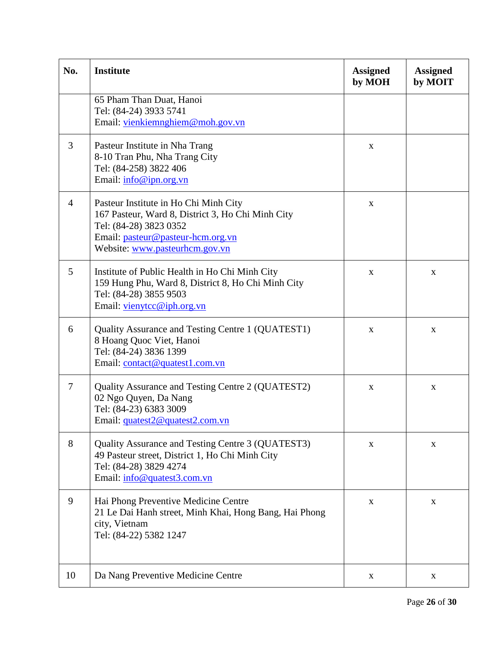| No.            | <b>Institute</b>                                                                                                                                                                            | <b>Assigned</b><br>by MOH | <b>Assigned</b><br>by MOIT |
|----------------|---------------------------------------------------------------------------------------------------------------------------------------------------------------------------------------------|---------------------------|----------------------------|
|                | 65 Pham Than Duat, Hanoi<br>Tel: (84-24) 3933 5741<br>Email: vienkiemnghiem@moh.gov.vn                                                                                                      |                           |                            |
| 3              | Pasteur Institute in Nha Trang<br>8-10 Tran Phu, Nha Trang City<br>Tel: (84-258) 3822 406<br>Email: info@ipn.org.vn                                                                         | $\mathbf X$               |                            |
| $\overline{4}$ | Pasteur Institute in Ho Chi Minh City<br>167 Pasteur, Ward 8, District 3, Ho Chi Minh City<br>Tel: (84-28) 3823 0352<br>Email: pasteur@pasteur-hcm.org.vn<br>Website: www.pasteurhcm.gov.vn | $\mathbf X$               |                            |
| 5              | Institute of Public Health in Ho Chi Minh City<br>159 Hung Phu, Ward 8, District 8, Ho Chi Minh City<br>Tel: (84-28) 3855 9503<br>Email: vienytcc@iph.org.vn                                | X                         | X                          |
| 6              | Quality Assurance and Testing Centre 1 (QUATEST1)<br>8 Hoang Quoc Viet, Hanoi<br>Tel: (84-24) 3836 1399<br>Email: contact@quatest1.com.vn                                                   | X                         | X                          |
| 7              | Quality Assurance and Testing Centre 2 (QUATEST2)<br>02 Ngo Quyen, Da Nang<br>Tel: (84-23) 6383 3009<br>Email: quatest2@quatest2.com.vn                                                     | $\mathbf X$               | X                          |
| 8              | Quality Assurance and Testing Centre 3 (QUATEST3)<br>49 Pasteur street, District 1, Ho Chi Minh City<br>Tel: (84-28) 3829 4274<br>Email: info@quatest3.com.vn                               | X                         | X                          |
| 9              | Hai Phong Preventive Medicine Centre<br>21 Le Dai Hanh street, Minh Khai, Hong Bang, Hai Phong<br>city, Vietnam<br>Tel: (84-22) 5382 1247                                                   | X                         | X                          |
| 10             | Da Nang Preventive Medicine Centre                                                                                                                                                          | X                         | X                          |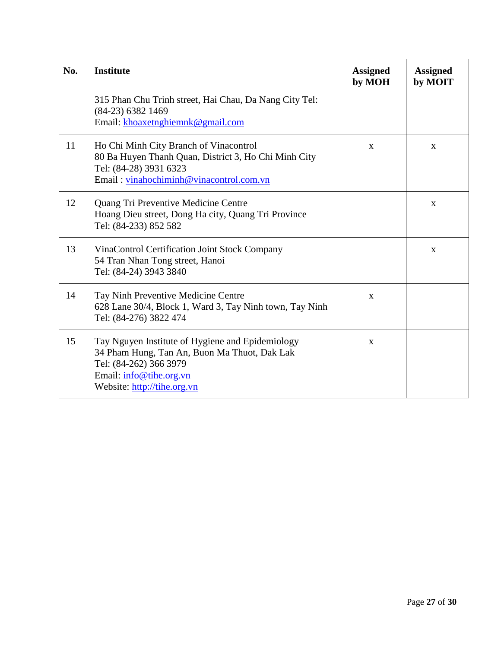| No. | <b>Institute</b>                                                                                                                                                                     | <b>Assigned</b><br>by MOH | <b>Assigned</b><br>by MOIT |
|-----|--------------------------------------------------------------------------------------------------------------------------------------------------------------------------------------|---------------------------|----------------------------|
|     | 315 Phan Chu Trinh street, Hai Chau, Da Nang City Tel:<br>$(84-23)$ 6382 1469<br>Email: khoaxetnghiemnk@gmail.com                                                                    |                           |                            |
| 11  | Ho Chi Minh City Branch of Vinacontrol<br>80 Ba Huyen Thanh Quan, District 3, Ho Chi Minh City<br>Tel: (84-28) 3931 6323<br>Email: vinahochiminh@vinacontrol.com.vn                  | $\mathbf{X}$              | $\mathbf{X}$               |
| 12  | Quang Tri Preventive Medicine Centre<br>Hoang Dieu street, Dong Ha city, Quang Tri Province<br>Tel: (84-233) 852 582                                                                 |                           | X                          |
| 13  | VinaControl Certification Joint Stock Company<br>54 Tran Nhan Tong street, Hanoi<br>Tel: (84-24) 3943 3840                                                                           |                           | X                          |
| 14  | Tay Ninh Preventive Medicine Centre<br>628 Lane 30/4, Block 1, Ward 3, Tay Ninh town, Tay Ninh<br>Tel: (84-276) 3822 474                                                             | $\mathbf{X}$              |                            |
| 15  | Tay Nguyen Institute of Hygiene and Epidemiology<br>34 Pham Hung, Tan An, Buon Ma Thuot, Dak Lak<br>Tel: (84-262) 366 3979<br>Email: info@tihe.org.vn<br>Website: http://tihe.org.vn | $\mathbf X$               |                            |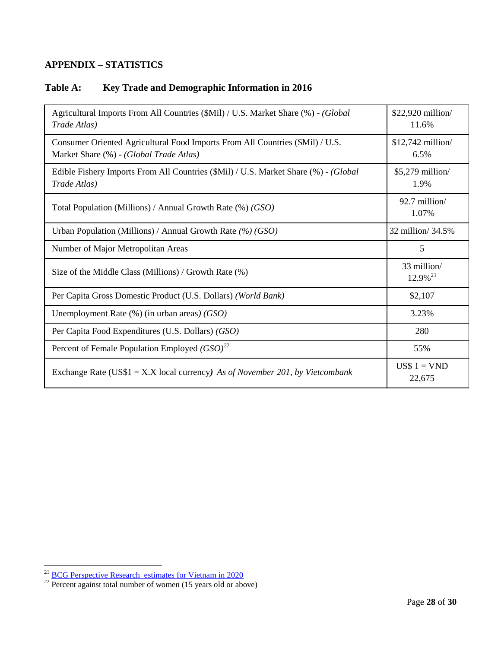## <span id="page-27-0"></span>**APPENDIX – STATISTICS**

## <span id="page-27-1"></span>**Table A: Key Trade and Demographic Information in 2016**

| Agricultural Imports From All Countries (\$Mil) / U.S. Market Share (%) - (Global<br>Trade Atlas)                        | \$22,920 million/<br>11.6%         |
|--------------------------------------------------------------------------------------------------------------------------|------------------------------------|
| Consumer Oriented Agricultural Food Imports From All Countries (\$Mil) / U.S.<br>Market Share (%) - (Global Trade Atlas) | \$12,742 million/<br>6.5%          |
| Edible Fishery Imports From All Countries (\$Mil) / U.S. Market Share (%) - (Global<br>Trade Atlas)                      | \$5,279 million/<br>1.9%           |
| Total Population (Millions) / Annual Growth Rate $% (GSO)$                                                               | 92.7 million/<br>1.07%             |
| Urban Population (Millions) / Annual Growth Rate $(\%)$ (GSO)                                                            | 32 million/ 34.5%                  |
| Number of Major Metropolitan Areas                                                                                       | 5                                  |
| Size of the Middle Class (Millions) / Growth Rate (%)                                                                    | 33 million/<br>12.9% <sup>21</sup> |
| Per Capita Gross Domestic Product (U.S. Dollars) (World Bank)                                                            | \$2,107                            |
| Unemployment Rate $(\%)$ (in urban areas) (GSO)                                                                          | 3.23%                              |
| Per Capita Food Expenditures (U.S. Dollars) (GSO)                                                                        | 280                                |
| Percent of Female Population Employed $(GSO)^{22}$                                                                       | 55%                                |
| Exchange Rate (US\$1 = X.X local currency) As of November 201, by Vietcombank                                            | US\$ $1 = VND$<br>22,675           |

<sup>&</sup>lt;sup>21</sup> [BCG Perspective Research estimates for Vietnam in 2020](https://www.bcgperspectives.com/content/articles/consumer_insight_growth_vietnam_myanmar_southeast_asia_new_growth_frontier/?chapter=2#chapter2)

 $^{22}$  Percent against total number of women (15 years old or above)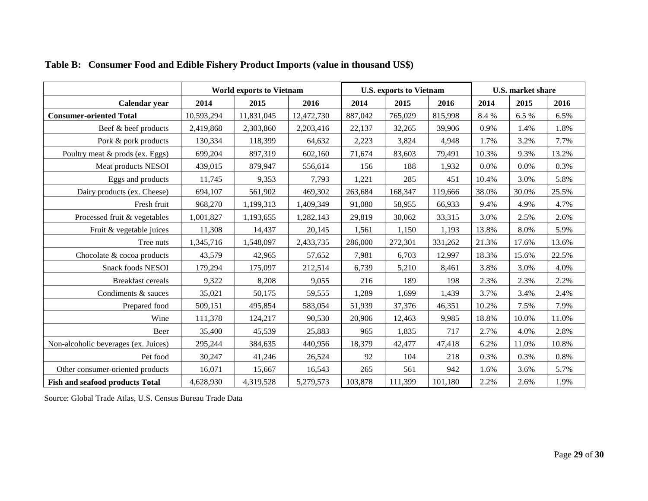<span id="page-28-0"></span>

|                                        | <b>World exports to Vietnam</b> |            |            |         | <b>U.S. exports to Vietnam</b> |         | <b>U.S. market share</b> |       |       |
|----------------------------------------|---------------------------------|------------|------------|---------|--------------------------------|---------|--------------------------|-------|-------|
| Calendar year                          | 2014                            | 2015       | 2016       | 2014    | 2015                           | 2016    | 2014                     | 2015  | 2016  |
| <b>Consumer-oriented Total</b>         | 10,593,294                      | 11,831,045 | 12,472,730 | 887,042 | 765,029                        | 815,998 | 8.4 %                    | 6.5 % | 6.5%  |
| Beef & beef products                   | 2,419,868                       | 2,303,860  | 2,203,416  | 22,137  | 32,265                         | 39,906  | 0.9%                     | 1.4%  | 1.8%  |
| Pork & pork products                   | 130,334                         | 118,399    | 64,632     | 2,223   | 3,824                          | 4,948   | 1.7%                     | 3.2%  | 7.7%  |
| Poultry meat & prods (ex. Eggs)        | 699,204                         | 897,319    | 602,160    | 71,674  | 83,603                         | 79,491  | 10.3%                    | 9.3%  | 13.2% |
| Meat products NESOI                    | 439,015                         | 879,947    | 556,614    | 156     | 188                            | 1,932   | 0.0%                     | 0.0%  | 0.3%  |
| Eggs and products                      | 11,745                          | 9,353      | 7,793      | 1,221   | 285                            | 451     | 10.4%                    | 3.0%  | 5.8%  |
| Dairy products (ex. Cheese)            | 694,107                         | 561,902    | 469,302    | 263,684 | 168,347                        | 119,666 | 38.0%                    | 30.0% | 25.5% |
| Fresh fruit                            | 968,270                         | 1,199,313  | 1,409,349  | 91,080  | 58,955                         | 66,933  | 9.4%                     | 4.9%  | 4.7%  |
| Processed fruit & vegetables           | 1,001,827                       | 1,193,655  | 1,282,143  | 29,819  | 30,062                         | 33,315  | 3.0%                     | 2.5%  | 2.6%  |
| Fruit & vegetable juices               | 11,308                          | 14,437     | 20,145     | 1,561   | 1,150                          | 1,193   | 13.8%                    | 8.0%  | 5.9%  |
| Tree nuts                              | 1,345,716                       | 1,548,097  | 2,433,735  | 286,000 | 272,301                        | 331,262 | 21.3%                    | 17.6% | 13.6% |
| Chocolate & cocoa products             | 43,579                          | 42,965     | 57,652     | 7,981   | 6,703                          | 12,997  | 18.3%                    | 15.6% | 22.5% |
| <b>Snack foods NESOI</b>               | 179,294                         | 175,097    | 212,514    | 6,739   | 5,210                          | 8,461   | 3.8%                     | 3.0%  | 4.0%  |
| <b>Breakfast cereals</b>               | 9,322                           | 8,208      | 9,055      | 216     | 189                            | 198     | 2.3%                     | 2.3%  | 2.2%  |
| Condiments & sauces                    | 35,021                          | 50,175     | 59,555     | 1,289   | 1,699                          | 1,439   | 3.7%                     | 3.4%  | 2.4%  |
| Prepared food                          | 509,151                         | 495,854    | 583,054    | 51,939  | 37,376                         | 46,351  | 10.2%                    | 7.5%  | 7.9%  |
| Wine                                   | 111,378                         | 124,217    | 90,530     | 20,906  | 12,463                         | 9,985   | 18.8%                    | 10.0% | 11.0% |
| Beer                                   | 35,400                          | 45,539     | 25,883     | 965     | 1,835                          | 717     | 2.7%                     | 4.0%  | 2.8%  |
| Non-alcoholic beverages (ex. Juices)   | 295,244                         | 384,635    | 440,956    | 18,379  | 42,477                         | 47,418  | 6.2%                     | 11.0% | 10.8% |
| Pet food                               | 30,247                          | 41,246     | 26,524     | 92      | 104                            | 218     | 0.3%                     | 0.3%  | 0.8%  |
| Other consumer-oriented products       | 16,071                          | 15,667     | 16,543     | 265     | 561                            | 942     | 1.6%                     | 3.6%  | 5.7%  |
| <b>Fish and seafood products Total</b> | 4,628,930                       | 4,319,528  | 5,279,573  | 103,878 | 111,399                        | 101,180 | 2.2%                     | 2.6%  | 1.9%  |

## **Table B: Consumer Food and Edible Fishery Product Imports (value in thousand US\$)**

Source: Global Trade Atlas, U.S. Census Bureau Trade Data